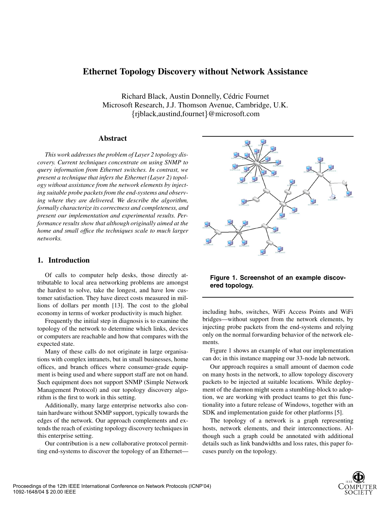# **Ethernet Topology Discovery without Network Assistance**

Richard Black, Austin Donnelly, Cédric Fournet Microsoft Research, J.J. Thomson Avenue, Cambridge, U.K. rjblack,austind,fournet@microsoft.com

### **Abstract**

*This work addresses the problem of Layer 2 topology discovery. Current techniques concentrate on using SNMP to query information from Ethernet switches. In contrast, we present a technique that infers the Ethernet (Layer 2) topology without assistance from the network elements by injecting suitable probe packets from the end-systems and observing where they are delivered. We describe the algorithm, formally characterize its correctness and completeness, and present our implementation and experimental results. Performance results show that although originally aimed at the home and small office the techniques scale to much larger networks.*

## **1. Introduction**

Of calls to computer help desks, those directly attributable to local area networking problems are amongst the hardest to solve, take the longest, and have low customer satisfaction. They have direct costs measured in millions of dollars per month [13]. The cost to the global economy in terms of worker productivity is much higher.

Frequently the initial step in diagnosis is to examine the topology of the network to determine which links, devices or computers are reachable and how that compares with the expected state.

Many of these calls do not originate in large organisations with complex intranets, but in small businesses, home offices, and branch offices where consumer-grade equipment is being used and where support staff are not on hand. Such equipment does not support SNMP (Simple Network Management Protocol) and our topology discovery algorithm is the first to work in this setting.

Additionally, many large enterprise networks also contain hardware without SNMP support, typically towards the edges of the network. Our approach complements and extends the reach of existing topology discovery techniques in this enterprise setting.

Our contribution is a new collaborative protocol permitting end-systems to discover the topology of an Ethernet—



**Figure 1. Screenshot of an example discovered topology.**

including hubs, switches, WiFi Access Points and WiFi bridges—without support from the network elements, by injecting probe packets from the end-systems and relying only on the normal forwarding behavior of the network elements.

Figure 1 shows an example of what our implementation can do; in this instance mapping our 33-node lab network.

Our approach requires a small amount of daemon code on many hosts in the network, to allow topology discovery packets to be injected at suitable locations. While deployment of the daemon might seem a stumbling-block to adoption, we are working with product teams to get this functionality into a future release of Windows, together with an SDK and implementation guide for other platforms [5].

The topology of a network is a graph representing hosts, network elements, and their interconnections. Although such a graph could be annotated with additional details such as link bandwidths and loss rates, this paper focuses purely on the topology.

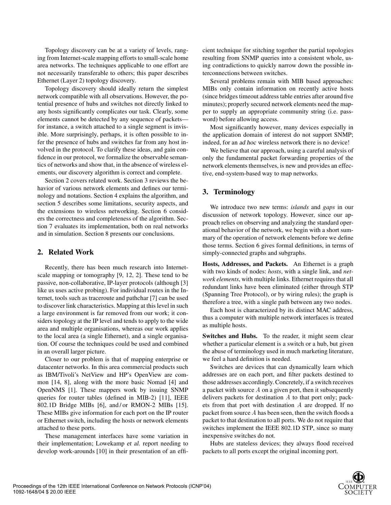Topology discovery can be at a variety of levels, ranging from Internet-scale mapping efforts to small-scale home area networks. The techniques applicable to one effort are not necessarily transferable to others; this paper describes Ethernet (Layer 2) topology discovery.

Topology discovery should ideally return the simplest network compatible with all observations. However, the potential presence of hubs and switches not directly linked to any hosts significantly complicates our task. Clearly, some elements cannot be detected by any sequence of packets for instance, a switch attached to a single segment is invisible. More surprisingly, perhaps, it is often possible to infer the presence of hubs and switches far from any host involved in the protocol. To clarify these ideas, and gain confidence in our protocol, we formalize the observable semantics of networks and show that, in the absence of wireless elements, our discovery algorithm is correct and complete.

Section 2 covers related work. Section 3 reviews the behavior of various network elements and defines our terminology and notations. Section 4 explains the algorithm, and section 5 describes some limitations, security aspects, and the extensions to wireless networking. Section 6 considers the correctness and completeness of the algorithm. Section 7 evaluates its implementation, both on real networks and in simulation. Section 8 presents our conclusions.

## **2. Related Work**

Recently, there has been much research into Internetscale mapping or tomography [9, 12, 2]. These tend to be passive, non-collaborative, IP-layer protocols (although [3] like us uses active probing). For individual routes in the Internet, tools such as traceroute and pathchar [7] can be used to discover link characteristics. Mapping at this level in such a large environment is far removed from our work; it considers topology at the IP level and tends to apply to the wide area and multiple organisations, whereas our work applies to the local area (a single Ethernet), and a single organisation. Of course the techniques could be used and combined in an overall larger picture.

Closer to our problem is that of mapping enterprise or datacenter networks. In this area commercial products such as IBM/Tivoli's NetView and HP's OpenView are common [14, 8], along with the more basic Nomad [4] and OpenNMS [1]. These mappers work by issuing SNMP queries for router tables (defined in MIB-2) [11], IEEE 802.1D Bridge MIBs [6], and / or RMON-2 MIBs [15]. These MIBs give information for each port on the IP router or Ethernet switch, including the hosts or network elements attached to these ports.

These management interfaces have some variation in their implementation; Lowekamp et al. report needing to develop work-arounds [10] in their presentation of an effi-

cient technique for stitching together the partial topologies resulting from SNMP queries into a consistent whole, using contradictions to quickly narrow down the possible interconnections between switches.

Several problems remain with MIB based approaches: MIBs only contain information on recently active hosts (since bridges timeout address table entries after around five minutes); properly secured network elements need the mapper to supply an appropriate community string (i.e. password) before allowing access.

Most significantly however, many devices especially in the application domain of interest do not support SNMP; indeed, for an ad hoc wireless network there is no device!

We believe that our approach, using a careful analysis of only the fundamental packet forwarding properties of the network elements themselves, is new and provides an effective, end-system-based way to map networks.

#### **3. Terminology**

We introduce two new terms: *islands* and *gaps* in our discussion of network topology. However, since our approach relies on observing and analyzing the standard operational behavior of the network, we begin with a short summary of the operation of network elements before we define those terms. Section 6 gives formal definitions, in terms of simply-connected graphs and subgraphs.

**Hosts, Addresses, and Packets.** An Ethernet is a graph with two kinds of nodes: *hosts*, with a single link, and *network elements*, with multiple links. Ethernet requires that all redundant links have been eliminated (either through STP (Spanning Tree Protocol), or by wiring rules); the graph is therefore a tree, with a single path between any two nodes.

Each host is characterized by its distinct MAC address, thus a computer with multiple network interfaces is treated as multiple hosts.

**Switches and Hubs.** To the reader, it might seem clear whether a particular element is a switch or a hub, but given the abuse of terminology used in much marketing literature, we feel a hard definition is needed.

Switches are devices that can dynamically learn which addresses are on each port, and filter packets destined to those addresses accordingly. Concretely, if a switch receives a packet with source  $\tilde{A}$  on a given port, then it subsequently delivers packets for destination  $A$  to that port only; packets from that port with destination  $A$  are dropped. If no packet from source  $A$  has been seen, then the switch floods a packet to that destination to all ports. We do not require that switches implement the IEEE 802.1D STP, since so many inexpensive switches do not.

Hubs are stateless devices; they always flood received packets to all ports except the original incoming port.

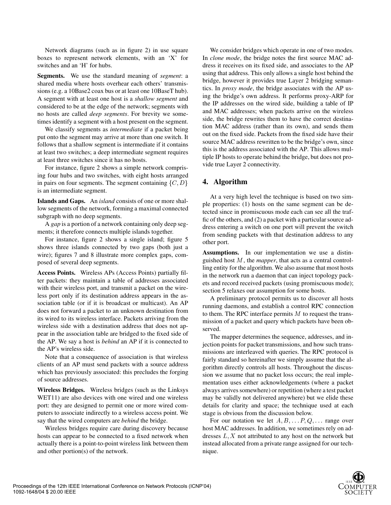Network diagrams (such as in figure 2) in use square boxes to represent network elements, with an 'X' for switches and an 'H' for hubs.

**Segments.** We use the standard meaning of *segment*: a shared media where hosts overhear each others' transmissions (e.g. a 10Base2 coax bus or at least one 10BaseT hub). A segment with at least one host is a *shallow segment* and considered to be at the edge of the network; segments with no hosts are called *deep segments*. For brevity we sometimes identify a segment with a host present on the segment.

We classify segments as *intermediate* if a packet being put onto the segment may arrive at more than one switch. It follows that a shallow segment is intermediate if it contains at least two switches; a deep intermediate segment requires at least three switches since it has no hosts.

For instance, figure 2 shows a simple network comprising four hubs and two switches, with eight hosts arranged in pairs on four segments. The segment containing  $\{C, D\}$  4. A is an intermediate segment.

**Islands and Gaps.** An *island* consists of one or more shallow segments of the network, forming a maximal connected subgraph with no deep segments.

A *gap* is a portion of a network containing only deep segments; it therefore connects multiple islands together.

For instance, figure 2 shows a single island; figure 5 shows three islands connected by two gaps (both just a wire); figures 7 and 8 illustrate more complex gaps, composed of several deep segments.

**Access Points.** Wireless APs (Access Points) partially filter packets: they maintain a table of addresses associated with their wireless port, and transmit a packet on the wireless port only if its destination address appears in the association table (or if it is broadcast or multicast). An AP does not forward a packet to an unknown destination from its wired to its wireless interface. Packets arriving from the wireless side with a destination address that does not appear in the association table are bridged to the fixed side of the AP. We say a host is *behind* an AP if it is connected to the AP's wireless side.

Note that a consequence of association is that wireless clients of an AP must send packets with a source address which has previously associated: this precludes the forging of source addresses.

**Wireless Bridges.** Wireless bridges (such as the Linksys WET11) are also devices with one wired and one wireless port: they are designed to permit one or more wired computers to associate indirectly to a wireless access point. We say that the wired computers are *behind* the bridge.

Wireless bridges require care during discovery because hosts can appear to be connected to a fixed network when actually there is a point-to-point wireless link between them and other portion(s) of the network.

We consider bridges which operate in one of two modes. In *clone mode*, the bridge notes the first source MAC address it receives on its fixed side, and associates to the AP using that address. This only allows a single host behind the bridge, however it provides true Layer 2 bridging semantics. In *proxy mode*, the bridge associates with the AP using the bridge's own address. It performs proxy-ARP for the IP addresses on the wired side, building a table of IP and MAC addresses; when packets arrive on the wireless side, the bridge rewrites them to have the correct destination MAC address (rather than its own), and sends them out on the fixed side. Packets from the fixed side have their source MAC address rewritten to be the bridge's own, since this is the address associated with the AP. This allows multiple IP hosts to operate behind the bridge, but does not provide true Layer 2 connectivity.

## **4. Algorithm**

At a very high level the technique is based on two simple properties: (1) hosts on the same segment can be detected since in promiscuous mode each can see all the traffic of the others, and (2) a packet with a particular source address entering a switch on one port will prevent the switch from sending packets with that destination address to any other port.

**Assumptions.** In our implementation we use a distinguished host  $M$ , the *mapper*, that acts as a central controlling entity for the algorithm. We also assume that most hosts in the network run a daemon that can inject topology packets and record received packets (using promiscuous mode); section 5 relaxes our assumption for some hosts.

A preliminary protocol permits us to discover all hosts running daemons, and establish a control RPC connection to them. The RPC interface permits  $M$  to request the transmission of a packet and query which packets have been observed.

The mapper determines the sequence, addresses, and injection points for packet transmissions, and how such transmissions are interleaved with queries. The RPC protocol is fairly standard so hereinafter we simply assume that the algorithm directly controls all hosts. Throughout the discussion we assume that no packet loss occurs; the real implementation uses either acknowledgements (where a packet always arrives somewhere) or repetition (where a test packet may be validly not delivered anywhere) but we elide these details for clarity and space; the technique used at each stage is obvious from the discussion below.

For our notation we let  $A, B, \ldots, P, Q, \ldots$  range over host MAC addresses. In addition, we sometimes rely on addresses  $L, X$  not attributed to any host on the network but instead allocated from a private range assigned for our technique.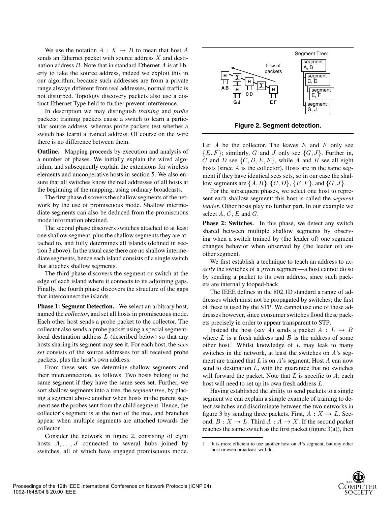We use the notation  $A : X \rightarrow B$  to mean that host A sends an Ethernet packet with source address  $X$  and destination address  $B$ . Note that in standard Ethernet  $A$  is at liberty to fake the source address, indeed we exploit this in our algorithm; because such addresses are from a private range always different from real addresses, normal traffic is not disturbed. Topology discovery packets also use a distinct Ethernet Type field to further prevent interference.

In description we may distinguish *training* and *probe* packets: training packets cause a switch to learn a particular source address, whereas probe packets test whether a switch has learnt a trained address. Of course on the wire there is no difference between them.

**Outline.** Mapping proceeds by execution and analysis of a number of phases. We initially explain the wired algorithm, and subsequently explain the extensions for wireless elements and uncooperative hosts in section 5. We also ensure that all switches know the real addresses of all hosts at the beginning of the mapping, using ordinary broadcasts.

The first phase discovers the shallow segments of the network by the use of promiscuous mode. Shallow intermediate segments can also be deduced from the promiscuous mode information obtained.

The second phase discovers switches attached to at least one shallow segment, plus the shallow segments they are attached to, and fully determines all islands (defined in section 3 above). In the usual case there are no shallow intermediate segments, hence each island consists of a single switch that attaches shallow segments.

The third phase discovers the segment or switch at the edge of each island where it connects to its adjoining gaps. Finally, the fourth phase discovers the structure of the gaps that interconnect the islands.

**Phase 1: Segment Detection.** We select an arbitrary host, named the *collector*, and set all hosts in promiscuous mode. Each other host sends a probe packet to the collector. The collector also sends a probe packet using a special segmentlocal destination address  $L$  (described below) so that any hosts sharing its segment may see it. For each host, the *sees set* consists of the source addresses for all received probe packets, plus the host's own address.

From these sets, we determine shallow segments and their interconnection, as follows. Two hosts belong to the same segment if they have the same sees set. Further, we sort shallow segments into a tree, the *segment tree*, by placing a segment above another when hosts in the parent segment see the probes sent from the child segment. Hence, the collector's segment is at the root of the tree, and branches appear when multiple segments are attached towards the collector.

Consider the network in figure 2, consisting of eight hosts  $A, \ldots, J$  connected to several hubs joined by switches, all of which have engaged promiscuous mode.



**Figure 2. Segment detection.**

Let  $A$  be the collector. The leaves  $E$  and  $F$  only see  $\{E, F\}$ ; similarly, G and J only see  $\{G, J\}$ . Further in, C and D see  $\{C, D, E, F\}$ , while A and B see all eight hosts (since  $A$  is the collector). Hosts are in the same segment if they have identical sees sets, so in our case the shallow segments are  $\{A, B\}$ ,  $\{C, D\}$ ,  $\{E, F\}$ , and  $\{G, J\}$ .

For the subsequent phases, we select one host to represent each shallow segment; this host is called the *segment leader*. Other hosts play no further part. In our example we select  $A, C, E$  and  $G$ .

**Phase 2: Switches.** In this phase, we detect any switch shared between multiple shallow segments by observing when a switch trained by (the leader of) one segment changes behavior when observed by (the leader of) another segment.

We first establish a technique to teach an address to *exactly* the switches of a given segment—a host cannot do so by sending a packet to its own address, since such packets are internally looped-back.

The IEEE defines in the 802.1D standard a range of addresses which must not be propagated by switches; the first of these is used by the STP. We cannot use one of these addresses however, since consumer switches flood these packets precisely in order to appear transparent to STP.

Instead the host (say A) sends a packet  $A : L \rightarrow B$ where  $L$  is a fresh address and  $B$  is the address of some other host.<sup>1</sup> Whilst knowledge of  $L$  may leak to many switches in the network, at least the switches on  $A$ 's segment are trained that  $L$  is on  $A$ 's segment. Host  $A$  can now send to destination  $L$ , with the guarantee that no switches will forward the packet. Note that  $L$  is specific to  $A$ ; each host will need to set up its own fresh address  $L$ .

Having established the ability to send packets to a single segment we can explain a simple example of training to detect switches and discriminate between the two networks in figure 3 by sending three packets. First,  $A: X \rightarrow L$ . Second,  $B: X \to L$ . Third  $A: A \to X$ . If the second packet reaches the same switch as the first packet (figure  $3(a)$ ), then

<sup>1</sup> It is more efficient to use another host on A's segment, but any other host or even broadcast will do.

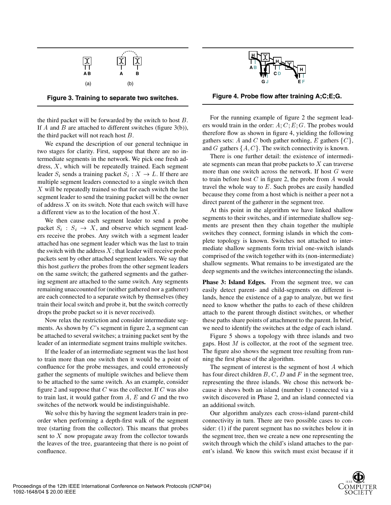

**Figure 3. Training to separate two switches.**

the third packet will be forwarded by the switch to host  $B$ . If  $A$  and  $B$  are attached to different switches (figure 3(b)), the third packet will not reach host  $B$ .

We expand the description of our general technique in two stages for clarity. First, suppose that there are no intermediate segments in the network. We pick one fresh address,  $X$ , which will be repeatedly trained. Each segment leader  $S_i$  sends a training packet  $S_i : X \to L$ . If there are multiple segment leaders connected to a single switch then  $X$  will be repeatedly trained so that for each switch the last segment leader to send the training packet will be the owner of address  $X$  on its switch. Note that each switch will have a different view as to the location of the host  $X$ .

We then cause each segment leader to send a probe packet  $S_i : S_i \rightarrow X$ , and observe which segment leaders receive the probes. Any switch with a segment leader attached has one segment leader which was the last to train the switch with the address  $X$ ; that leader will receive probe packets sent by other attached segment leaders. We say that this host *gathers* the probes from the other segment leaders on the same switch; the gathered segments and the gathering segment are attached to the same switch. Any segments remaining unaccounted for (neither gathered nor a gatherer) are each connected to a separate switch by themselves (they train their local switch and probe it, but the switch correctly drops the probe packet so it is never received).

Now relax the restriction and consider intermediate segments. As shown by  $C$ 's segment in figure 2, a segment can be attached to several switches; a training packet sent by the leader of an intermediate segment trains multiple switches.

If the leader of an intermediate segment was the last host to train more than one switch then it would be a point of confluence for the probe messages, and could erroneously gather the segments of multiple switches and believe them to be attached to the same switch. As an example, consider figure 2 and suppose that  $C$  was the collector. If  $C$  was also to train last, it would gather from  $A$ ,  $E$  and  $G$  and the two switches of the network would be indistinguishable.

We solve this by having the segment leaders train in preorder when performing a depth-first walk of the segment tree (starting from the collector). This means that probes sent to  $X$  now propagate away from the collector towards the leaves of the tree, guaranteeing that there is no point of confluence.



**Figure 4. Probe flow after training A;C;E;G.**

For the running example of figure 2 the segment leaders would train in the order:  $A, C, E, G$ . The probes would therefore flow as shown in figure 4, yielding the following gathers sets: A and C both gather nothing, E gathers  $\{C\}$ , and G gathers  $\{A, C\}$ . The switch connectivity is known.

There is one further detail: the existence of intermediate segments can mean that probe packets to  $X$  can traverse more than one switch across the network. If host  $G$  were to train before host  $C$  in figure 2, the probe from  $A$  would travel the whole way to  $E$ . Such probes are easily handled because they come from a host which is neither a peer not a direct parent of the gatherer in the segment tree.

At this point in the algorithm we have linked shallow segments to their switches, and if intermediate shallow segments are present then they chain together the multiple switches they connect, forming islands in which the complete topology is known. Switches not attached to intermediate shallow segments form trivial one-switch islands comprised of the switch together with its (non-intermediate) shallow segments. What remains to be investigated are the deep segments and the switches interconnecting the islands.

**Phase 3: Island Edges.** From the segment tree, we can easily detect parent- and child-segments on different islands, hence the existence of a gap to analyze, but we first need to know whether the paths to each of these children attach to the parent through distinct switches, or whether these paths share points of attachment to the parent. In brief, we need to identify the switches at the edge of each island.

Figure 5 shows a topology with three islands and two gaps. Host  $M$  is collector, at the root of the segment tree. The figure also shows the segment tree resulting from running the first phase of the algorithm.

The segment of interest is the segment of host  $A$  which has four direct children  $B, C, D$  and  $F$  in the segment tree, representing the three islands. We chose this network because it shows both an island (number 1) connected via a switch discovered in Phase 2, and an island connected via an additional switch.

Our algorithm analyzes each cross-island parent-child connectivity in turn. There are two possible cases to consider: (1) if the parent segment has no switches below it in the segment tree, then we create a new one representing the switch through which the child's island attaches to the parent's island. We know this switch must exist because if it

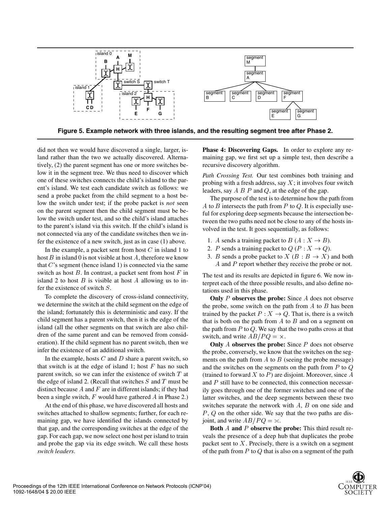

**Figure 5. Example network with three islands, and the resulting segment tree after Phase 2.**

did not then we would have discovered a single, larger, island rather than the two we actually discovered. Alternatively, (2) the parent segment has one or more switches below it in the segment tree. We thus need to discover which one of these switches connects the child's island to the parent's island. We test each candidate switch as follows: we send a probe packet from the child segment to a host below the switch under test; if the probe packet is *not* seen on the parent segment then the child segment must be below the switch under test, and so the child's island attaches to the parent's island via this switch. If the child's island is not connected via any of the candidate switches then we infer the existence of a new switch, just as in case (1) above.

In the example, a packet sent from host  $C$  in island 1 to host  $B$  in island 0 is not visible at host  $A$ , therefore we know that  $C$ 's segment (hence island 1) is connected via the same switch as host  $B$ . In contrast, a packet sent from host  $F$  in island 2 to host  $B$  is visible at host  $A$  allowing us to infer the existence of switch  $S$ .

To complete the discovery of cross-island connectivity, we determine the switch at the child segment on the edge of the island; fortunately this is deterministic and easy. If the child segment has a parent switch, then it is the edge of the island (all the other segments on that switch are also children of the same parent and can be removed from consideration). If the child segment has no parent switch, then we infer the existence of an additional switch.

In the example, hosts  $C$  and  $D$  share a parent switch, so that switch is at the edge of island 1; host  $F$  has no such parent switch, so we can infer the existence of switch  $T$  at the edge of island 2. (Recall that switches  $S$  and  $T$  must be distinct because  $A$  and  $F$  are in different islands; if they had been a single switch,  $F$  would have gathered  $A$  in Phase 2.)

At the end of this phase, we have discovered all hosts and switches attached to shallow segments; further, for each remaining gap, we have identified the islands connected by that gap, and the corresponding switches at the edge of the gap. For each gap, we now select one host per island to train and probe the gap via its edge switch. We call these hosts *switch leaders*.

**Phase 4: Discovering Gaps.** In order to explore any remaining gap, we first set up a simple test, then describe a recursive discovery algorithm.

*Path Crossing Test.* Our test combines both training and probing with a fresh address, say  $X$ ; it involves four switch leaders, say  $A \, B \, P$  and  $Q$ , at the edge of the gap.

The purpose of the test is to determine how the path from A to B intersects the path from P to Q. It is especially useful for exploring deep segments because the intersection between the two paths need not be close to any of the hosts involved in the test. It goes sequentially, as follows:

- 1. A sends a training packet to  $B(A : X \rightarrow B)$ .
- 2. P sends a training packet to  $Q(P: X \rightarrow Q)$ .
- 3. *B* sends a probe packet to  $X$  ( $B : B \to X$ ) and both A and P report whether they receive the probe or not.

The test and its results are depicted in figure 6. We now interpret each of the three possible results, and also define notations used in this phase.

**Only**  $P$  observes the probe: Since  $A$  does not observe the probe, some switch on the path from  $A$  to  $B$  has been trained by the packet  $P : X \to Q$ . That is, there is a switch that is both on the path from  $A$  to  $B$  and on a segment on the path from  $P$  to  $Q$ . We say that the two paths cross at that switch, and write  $AB/PQ = \times$ .

**Only**  $\Lambda$  observes the probe: Since  $P$  does not observe the probe, conversely, we know that the switches on the segments on the path from  $A$  to  $B$  (seeing the probe message) and the switches on the segments on the path from  $P$  to  $Q$ (trained to forward  $X$  to  $P$ ) are disjoint. Moreover, since  $A$ and  $P$  still have to be connected, this connection necessarily goes through one of the former switches and one of the latter switches, and the deep segments between these two switches separate the network with  $A$ ,  $B$  on one side and  $P$ ,  $Q$  on the other side. We say that the two paths are disjoint, and write  $AB/ PQ = \times$ .

**Both** A and P observe the probe: This third result reveals the presence of a deep hub that duplicates the probe packet sent to  $X$ . Precisely, there is a switch on a segment of the path from  $P$  to  $Q$  that is also on a segment of the path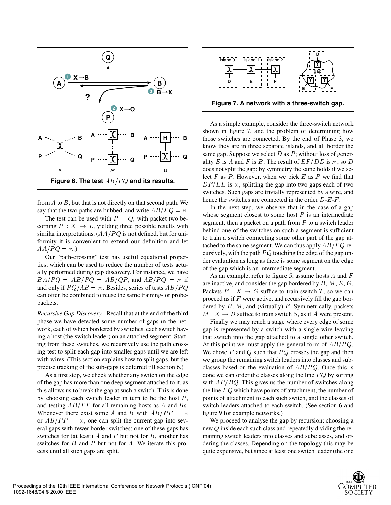

from  $A$  to  $B$ , but that is not directly on that second path. We say that the two paths are hubbed, and write  $AB/PQ = H$ .

The test can be used with  $P = Q$ , with packet two becoming  $P: X \to L$ , yielding three possible results with similar interpretations.  $(AA/PQ)$  is not defined, but for uniformity it is convenient to extend our definition and let  $AA/PQ = \times$ .)

Our "path-crossing" test has useful equational properties, which can be used to reduce the number of tests actually performed during gap discovery. For instance, we have  $BA/PQ = AB/PQ = AB/QP$ , and  $AB/PQ = \times$  if  $\qquad \qquad \ldots$ and only if  $PQ/AB = \times$ . Besides, series of tests  $AB/P$ can often be combined to reuse the same training- or probepackets.

*Recursive Gap Discovery.* Recall that at the end of the third phase we have detected some number of gaps in the network, each of which bordered by switches, each switch having a host (the switch leader) on an attached segment. Starting from these switches, we recursively use the path crossing test to split each gap into smaller gaps until we are left with wires. (This section explains how to split gaps, but the precise tracking of the sub-gaps is deferred till section 6.)

As a first step, we check whether any switch on the edge of the gap has more than one deep segment attached to it, as this allows us to break the gap at such a switch. This is done by choosing each switch leader in turn to be the host  $P$ , and testing  $AB/PP$  for all remaining hosts as A and Bs. Whenever there exist some A and B with  $AB/PP = H$  fig or  $AB/PP = \times$ , one can split the current gap into several gaps with fewer border switches: one of these gaps has switches for (at least)  $A$  and  $P$  but not for  $B$ , another has switches for  $B$  and  $P$  but not for  $A$ . We iterate this process until all such gaps are split.



**Figure 7. A network with a three-switch gap.**

As a simple example, consider the three-switch network shown in figure 7, and the problem of determining how those switches are connected. By the end of Phase 3, we know they are in three separate islands, and all border the same gap. Suppose we select  $D$  as  $P$ ; without loss of generality E is A and F is B. The result of  $E\big| D D$  is  $\asymp$ , so D does not split the gap; by symmetry the same holds if we select  $F$  as  $P$ . However, when we pick  $E$  as  $P$  we find that  $DF/EE$  is  $\times$ , splitting the gap into two gaps each of two switches. Such gaps are trivially represented by a wire, and hence the switches are connected in the order  $D$ - $E$ - $F$ .

In the next step, we observe that in the case of a gap whose segment closest to some host  $P$  is an intermediate segment, then a packet on a path from  $P$  to a switch leader behind one of the switches on such a segment is sufficient to train a switch connecting some other part of the gap attached to the same segment. We can thus apply  $AB/ PQ$  recursively, with the path  $PQ$  touching the edge of the gap under evaluation as long as there is some segment on the edge of the gap which is an intermediate segment.

Packets  $E: X \to G$  suffice to train switch T, so we can As an example, refer to figure 5, assume hosts  $A$  and  $F$ are inactive, and consider the gap bordered by  $B, M, E, G$ . proceed as if  $F$  were active, and recursively fill the gap bordered by  $B$ ,  $M$ , and (virtually)  $F$ . Symmetrically, packets  $M: X \to B$  suffice to train switch S, as if A were present.

 , points of attachment to each such switch, and the classes of H figure 9 for example networks.) Finally we may reach a stage where every edge of some gap is represented by a switch with a single wire leaving that switch into the gap attached to a single other switch. At this point we must apply the general form of  $AB/PQ$ . We chose  $P$  and  $Q$  such that  $PQ$  crosses the gap and then we group the remaining switch leaders into classes and subclasses based on the evaluation of  $AB/PQ$ . Once this is done we can order the classes along the line  $PQ$  by sorting with  $AP/$  BQ. This gives us the number of switches along the line  $PQ$  which have points of attachment, the number of switch leaders attached to each switch. (See section 6 and

> We proceed to analyse the gap by recursion; choosing a new  $Q$  inside each such class and repeatedly dividing the remaining switch leaders into classes and subclasses, and ordering the classes. Depending on the topology this may be quite expensive, but since at least one switch leader (the one

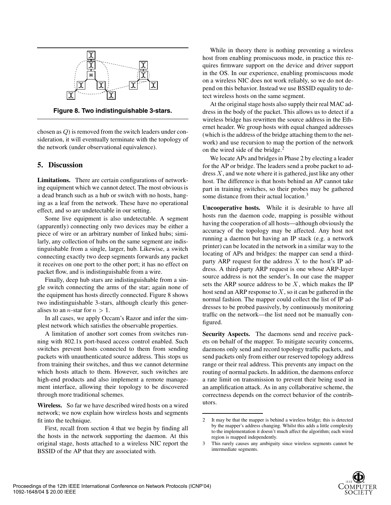

**Figure 8. Two indistinguishable 3-stars.**

chosen as  $Q$ ) is removed from the switch leaders under consideration, it will eventually terminate with the topology of the network (under observational equivalence).

#### **5. Discussion**

**Limitations.** There are certain configurations of networking equipment which we cannot detect. The most obvious is a dead branch such as a hub or switch with no hosts, hanging as a leaf from the network. These have no operational effect, and so are undetectable in our setting.

Some live equipment is also undetectable. A segment (apparently) connecting only two devices may be either a piece of wire or an arbitrary number of linked hubs; similarly, any collection of hubs on the same segment are indistinguishable from a single, larger, hub. Likewise, a switch connecting exactly two deep segments forwards any packet it receives on one port to the other port; it has no effect on packet flow, and is indistinguishable from a wire.

Finally, deep hub stars are indistinguishable from a single switch connecting the arms of the star; again none of the equipment has hosts directly connected. Figure 8 shows two indistinguishable 3-stars, although clearly this generalises to an *n*-star for  $n > 1$ .

In all cases, we apply Occam's Razor and infer the simplest network which satisfies the observable properties.

A limitation of another sort comes from switches running with 802.1x port-based access control enabled. Such switches prevent hosts connected to them from sending packets with unauthenticated source address. This stops us from training their switches, and thus we cannot determine which hosts attach to them. However, such switches are high-end products and also implement a remote management interface, allowing their topology to be discovered through more traditional schemes.

**Wireless.** So far we have described wired hosts on a wired network; we now explain how wireless hosts and segments fit into the technique.

First, recall from section 4 that we begin by finding all the hosts in the network supporting the daemon. At this original stage, hosts attached to a wireless NIC report the BSSID of the AP that they are associated with.

While in theory there is nothing preventing a wireless host from enabling promiscuous mode, in practice this requires firmware support on the device and driver support in the OS. In our experience, enabling promiscuous mode on a wireless NIC does not work reliably, so we do not depend on this behavior. Instead we use BSSID equality to detect wireless hosts on the same segment.

At the original stage hosts also supply their real MAC address in the body of the packet. This allows us to detect if a wireless bridge has rewritten the source address in the Ethernet header. We group hosts with equal changed addresses (which is the address of the bridge attaching them to the network) and use recursion to map the portion of the network on the wired side of the bridge.<sup>2</sup>

We locate APs and bridges in Phase 2 by electing a leader for the AP or bridge. The leaders send a probe packet to address  $X$ , and we note where it is gathered, just like any other host. The difference is that hosts behind an AP cannot take part in training switches, so their probes may be gathered some distance from their actual location.<sup>3</sup>

**Uncooperative hosts.** While it is desirable to have all hosts run the daemon code, mapping is possible without having the cooperation of all hosts—although obviously the accuracy of the topology may be affected. Any host not running a daemon but having an IP stack (e.g. a network printer) can be located in the network in a similar way to the locating of APs and bridges: the mapper can send a thirdparty ARP request for the address  $X$  to the host's IP address. A third-party ARP request is one whose ARP-layer source address is not the sender's. In our case the mapper sets the ARP source address to be  $X$ , which makes the IP host send an ARP response to  $X$ , so it can be gathered in the normal fashion. The mapper could collect the list of IP addresses to be probed passively, by continuously monitoring traffic on the network—the list need not be manually configured.

**Security Aspects.** The daemons send and receive packets on behalf of the mapper. To mitigate security concerns, daemons only send and record topology traffic packets, and send packets only from either our reserved topology address range or their real address. This prevents any impact on the routing of normal packets. In addition, the daemons enforce a rate limit on transmission to prevent their being used in an amplification attack. As in any collaborative scheme, the correctness depends on the correct behavior of the contributors.

<sup>3</sup> This rarely causes any ambiguity since wireless segments cannot be intermediate segments.



<sup>2</sup> It may be that the mapper is behind a wireless bridge; this is detected by the mapper's address changing. Whilst this adds a little complexity to the implementation it doesn't much affect the algorithm; each wired region is mapped independently.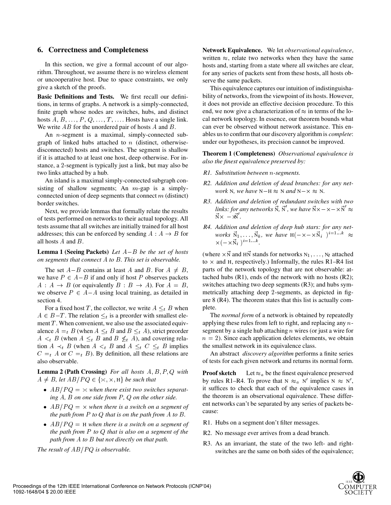#### **6. Correctness and Completeness**

In this section, we give a formal account of our algorithm. Throughout, we assume there is no wireless element or uncooperative host. Due to space constraints, we only give a sketch of the proofs.

**Basic Definitions and Tests.** We first recall our definitions, in terms of graphs. A network is a simply-connected, finite graph whose nodes are switches, hubs, and distinct hosts  $A, B, \ldots, P, Q, \ldots, T, \ldots$ . Hosts have a single link. We write  $AB$  for the unordered pair of hosts  $A$  and  $B$ .

An  $n$ -segment is a maximal, simply-connected subgraph of linked hubs attached to  $n$  (distinct, otherwisedisconnected) hosts and switches. The segment is shallow if it is attached to at least one host, deep otherwise. For instance, a 2-segment is typically just a link, but may also be two links attached by a hub.

An island is a maximal simply-connected subgraph consisting of shallow segments; An  $m$ -gap is a simplyconnected union of deep segments that connect  $m$  (distinct) border switches.

Next, we provide lemmas that formally relate the results of tests performed on networks to their actual topology. All tests assume that all switches are initially trained for all host addresses; this can be enforced by sending  $A : A \rightarrow B$  for all hosts  $A$  and  $B$ .

**Lemma 1 (Seeing Packets)** *Let be the set of hosts on segments that connect A to B. This set is observable.* 

The set  $A - B$  contains at least A and B. For  $A \neq B$ , p we have  $P \in A - B$  if and only if host P observes packets  $A : A \rightarrow B$  (or equivalently  $B : B \rightarrow A$ ). For  $A = B$ , we observe  $P \in A - A$  using local training, as detailed in section 4.

For a fixed host T, the collector, we write  $A \leq_t B$  when  $A \in B - T$ . The relation  $\leq_t$  is a preorder with smallest element  $T$ . When convenient, we also use the associated equivalence  $A =_t B$  (when  $A \leq_t B$  and  $B \leq_t A$ ), strict preorder  $A \lt_t B$  (when  $A \leq_t B$  and  $B \nleq_t A$ ), and covering relation  $A \prec_t B$  (when  $A \prec_t B$  and  $A \leq_t C \leq_t B$  implies  $C =_{t} A$  or  $C =_{t} B$ ). By definition, all these relations are also observable.

**Lemma 2 (Path Crossing)** For all hosts  $A, B, P, Q$  with **Pro**  $A \neq B$ , let  $AB/ PQ \in \{\infty, \times, H\}$  be such that

- $AB/PQ = \times$  when there exist two switches separating A, B on one side from P, Q on the other side.
- $AB/PQ = \times$  when there is a switch on a segment of *the path from P to Q that is on the path from A to B.*
- $AB/PQ = H$  when there is a switch on a segment of *the path from P to Q that is also on a segment of the path from to but not directly on that path.*

The result of  $AB/PQ$  is observable.

**Network Equivalence.** We let *observational equivalence*, written  $\approx$ , relate two networks when they have the same hosts and, starting from a state where all switches are clear, for any series of packets sent from these hosts, all hosts observe the same packets.

This equivalence captures our intuition of indistinguishability of networks, from the viewpoint of its hosts. However, it does not provide an effective decision procedure. To this end, we now give a characterization of  $\approx$  in terms of the local network topology. In essence, our theorem bounds what can ever be observed without network assistance. This enables us to confirm that our discovery algorithm is *complete*: under our hypotheses, its precision cannot be improved.

**Theorem 1 (Completeness)** *Observational equivalence is also the finest equivalence preserved by:*

- *R1. Substitution between -segments.*
- *R2. Addition and deletion of dead branches: for any network* N, we have  $N-H \approx N$  *and*  $N-X \approx N$ .
- *R3. Addition and deletion of redundant switches with two* links: for any networks  $\vec{\rm N}$ ,  $\vec{\rm N}^\prime$  , we have  $\vec{\rm N} \times$   $\times$   $\times$   $\vec{\rm N}^\prime$   $\approx$  $\vec{N} \times -\vec{N}$ .
- *R4. Addition and deletion of deep hub stars: for any net*works  $\vec{N}_1, \ldots, \vec{N}_k$ , we have  $H(-\times -\times \vec{N}_i)^{i=1...k} \approx \times (-\times \vec{N}_i)^{i=1...k}$

B, switches attaching two deep segments (R3); and hubs sym-(where  $\times \vec{N}$  and HN stands for networks  $N_1, \ldots, N_l$  attached to  $\times$  and H, respectively.) Informally, the rules R1–R4 list parts of the network topology that are not observable: attached hubs  $(R1)$ , ends of the network with no hosts  $(R2)$ ; metrically attaching deep 2-segments, as depicted in figure 8 (R4). The theorem states that this list is actually complete.

> The *normal form* of a network is obtained by repeatedly applying these rules from left to right, and replacing any  $n$ segment by a single hub attaching  $n$  wires (or just a wire for  $n = 2$ ). Since each application deletes elements, we obtain the smallest network in its equivalence class.

> An abstract *discovery algorithm* performs a finite series of tests for each given network and returns its normal form.

**Proof sketch** Let  $\approx_a$  be the finest equivalence preserved by rules R1–R4. To prove that  $N \approx a N'$  implies  $N \approx N'$ , it suffices to check that each of the equivalence cases in the theorem is an observational equivalence. These different networks can't be separated by any series of packets because:

- R1. Hubs on a segment don't filter messages.
- R2. No message ever arrives from a dead branch.
- R3. As an invariant, the state of the two left- and rightswitches are the same on both sides of the equivalence;

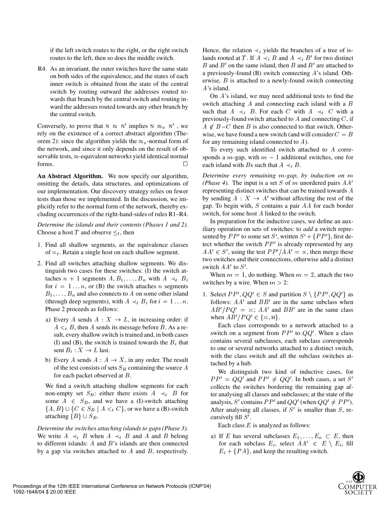if the left switch routes to the right, or the right switch routes to the left, then so does the middle switch.

R4. As an invariant, the outer switches have the same state on both sides of the equivalence, and the states of each inner switch is obtained from the state of the central switch by routing outward the addresses routed towards that branch by the central switch and routing inward the addresses routed towards any other branch by the central switch.

Conversely, to prove that  $N \approx N'$  implies  $N \approx_a N'$ , we rely on the existence of a correct abstract algorithm (Theorem 2): since the algorithm yields the  $\approx_a$ -normal form of the network, and since it only depends on the result of observable tests,  $\approx$ -equivalent networks yield identical normal forms.  $\Box$  each island with Bs such that  $A \prec_i B$ .

**An Abstract Algorithm.** We now specify our algorithm, omitting the details, data structures, and optimizations of our implementation. Our discovery strategy relies on fewer tests than those we implemented. In the discussion, we implicitly refer to the normal form of the network, thereby excluding occurrences of the right-hand-sides of rules R1–R4.

*Determine the islands and their contents (Phases 1 and 2).* Choose a host T and observe  $\leq_t$ , then

- 1. Find all shallow segments, as the equivalence classes of  $=$ <sub>t</sub>. Retain a single host on each shallow segment.
- 2. Find all switches attaching shallow segments. We distinguish two cases for these switches: (I) the switch attaches  $n+1$  segments  $A, B_1, \ldots, B_n$  with  $A \prec_t B_i$ for  $i = 1 \dots n$ , or (B) the switch attaches *n* segments  $B_1, \ldots, B_n$  and also connects to A on some other island (through deep segments), with  $A \prec_t B_i$  for  $i = 1 \ldots n$ . Phase 2 proceeds as follows:
	- a) Every A sends  $A: X \to L$ , in increasing order: if  $A \leq_t B$ , then A sends its message before B. As a result, every shallow switch is trained and, in both cases (I) and (B), the switch is trained towards the  $B_i$  that sent  $B_i: X \to L$  last.
	- b) Every A sends  $A : A \to X$ , in any order. The result of the test consists of sets  $S_B$  containing the source A for each packet observed at  $B$ .

We find a switch attaching shallow segments for each non-empty set  $S_B$ : either there exists  $A \prec_t B$  for t some  $A \in S_B$ , and we have a (I)-switch attaching  $\{A, B\} \cup \{C \in S_B \mid A \leq t C\}$ , or we have a (B)-switch attaching  ${B} \cup S_B$ .

*Determine the switches attaching islands to gaps (Phase 3).* We write  $A \prec_i B$  when  $A \prec_i B$  and A and B belong to different islands:  $A$  and  $B$ 's islands are then connected by a gap via switches attached to  $A$  and  $B$ , respectively.

Hence, the relation  $\prec_i$  yields the branches of a tree of islands rooted at T. If  $A \prec_i B$  and  $A \prec_i B'$  for two distinct B and  $B'$  on the same island, then B and  $B'$  are attached to a previously-found  $(B)$  switch connecting  $A$ 's island. Otherwise,  $B$  is attached to a newly-found switch connecting A's island.

On  $A$ 's island, we may need additional tests to find the switch attaching  $A$  and connecting each island with a  $B$ such that  $A \prec_i B$ . For each C with  $A \prec_i C$  with a previously-found switch attached to  $A$  and connecting  $C$ , if  $A \notin B-C$  then B is also connected to that switch. Otherwise, we have found a new switch (and will consider  $C = B$ for any remaining island connected to  $A$ ).

To every such identified switch attached to  $A$  corresponds a  $m$ -gap, with  $m-1$  additional switches, one for

*Determine every remaining -gap, by induction on (Phase 4).* The input is a set S of m unordered pairs  $AA'$ representing distinct switches that can be trained towards  $A$ by sending  $A: X \to A'$  without affecting the rest of the gap. To begin with,  $S$  contains a pair  $AA$  for each border switch, for some host  $A$  linked to the switch.

In preparation for the inductive cases, we define an auxiliary operation on sets of switches: to *add* a switch represented by  $PP'$  to some set S', written  $S' + \{PP'\}$ , first detect whether the switch  $PP'$  is already represented by any  $AA' \in S'$ , using the test  $PP'/AA' = \times$ , then merge these two switches and their connections, otherwise add a distinct switch  $AA'$  to  $S'$ .

When  $m = 1$ , do nothing. When  $m = 2$ , attach the two switches by a wire. When  $m > 2$ :

1. Select  $PP', QQ' \in S$  and partition  $S \setminus \{PP', QQ'\}$  as follows:  $AA'$  and  $BB'$  are in the same subclass when  $AB'/PQ' = \le; AA'$  and  $BB'$  are in the same class when  $AB'/PQ' \in \{\leq, H\}.$ 

Each class corresponds to a network attached to a switch on a segment from  $PP'$  to  $QQ'$ . When a class contains several subclasses, each subclass corresponds to one or several networks attached to a distinct switch, with the class switch and all the subclass switches attached by a hub.

 We distinguish two kind of inductive cases, for  $PP' = QQ'$  and  $PP' \neq QQ'$ . In both cases, a set S' collects the switches bordering the remaining gap after analysing all classes and subclasses; at the state of the analysis, S' contains  $PP'$  and  $QQ'$  (when  $QQ' \neq PP'$ ). After analysing all classes, if  $S'$  is smaller than  $S$ , recursively fill  $S'$ .

Each class  $E$  is analyzed as follows:

a) If E has several subclasses  $E_1, \ldots, E_n \subset E$ , then for each subclass  $E_i$ , select  $AA' \in E \setminus E_i$ , fill  $E_i + \{PA\}$ , and keep the resulting switch.

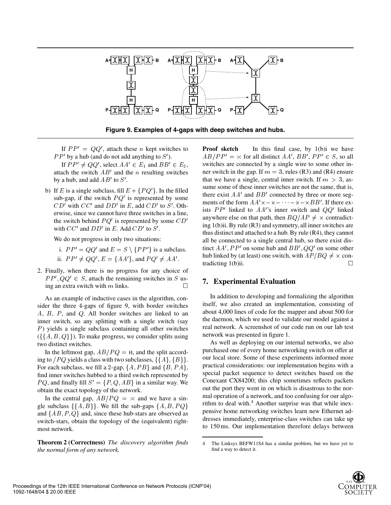

**Figure 9. Examples of 4-gaps with deep switches and hubs.**

If  $PP' = QQ'$ , attach these n kept switches to  $PP'$  by a hub (and do not add anything to  $S'$ ).

- If  $PP' \neq QQ'$ , select  $AA' \in E_1$  and  $BB' \in E_2$ , sw attach the switch  $AB'$  and the n resulting switches by a hub, and add  $AB'$  to  $S'$ .
- b) If E is a single subclass, fill  $E + \{PQ'\}$ . In the filled sub-gap, if the switch  $PQ'$  is represented by some  $CD'$  with  $CC'$  and  $DD'$  in E, add  $CD'$  to S'. Otherwise, since we cannot have three switches in a line, the switch behind  $PQ'$  is represented by some  $CD'$ with  $CC'$  and  $DD'$  in E. Add  $CD'$  to S'.

We do not progress in only two situations:

- i.  $PP' = QQ'$  and  $E = S \setminus \{PP'\}$  is a subclass. ii.  $PP' \neq QQ', E = \{AA'\}$ , and  $PQ' \neq AA'$ .
- 2. Finally, when there is no progress for any choice of  $PP', QQ' \in S$ , attach the remaining switches in S using an extra switch with m links.  $\Box$

As an example of inductive cases in the algorithm, consider the three 4-gaps of figure 9, with border switches  $A, B, P,$  and  $Q$ . All border switches are linked to an inner switch, so any splitting with a single switch (say ) yields a single subclass containing all other switches  $({\lbrace A, B, Q \rbrace})$ . To make progress, we consider splits using two distinct switches.

In the leftmost gap,  $AB/PQ = H$ , and the split according to  $/ PQ$  yields a class with two subclasses,  $\{ \{A\}, \{B\} \}$ . For each subclass, we fill a 2-gap,  $\{A, PB\}$  and  $\{B, PA\}$ , pr find inner switches hubbed to a third switch represented by  $PQ$ , and finally fill  $S' = \{P, Q, AB\}$  in a similar way. We obtain the exact topology of the network.

In the central gap,  $AB/PQ = \times$  and we have a single subclass  $\{\{A, B\}\}\$ . We fill the sub-gaps  $\{A, B, PQ\}$ and  $\{AB, P, Q\}$  and, since these hub-stars are observed as switch-stars, obtain the topology of the (equivalent) rightmost network.

**Theorem 2 (Correctness)** *The discovery algorithm finds the normal form of any network.*

**Proof sketch** In this final case, by 1(b)i we have  $AB/PP' = \times$  for all distinct  $AA'$ ,  $BB'$ ,  $PP' \in S$ , so all switches are connected by a single wire to some other inner switch in the gap. If  $m = 3$ , rules (R3) and (R4) ensure that we have a single, central inner switch. If  $m > 3$ , assume some of these inner switches are not the same, that is, there exist  $AA'$  and  $BB'$  connected by three or more segments of the form  $AA' \times - \times - \times - \times BB'$ . If there exists  $PP'$  linked to  $AA'$ 's inner switch and  $QQ'$  linked anywhere else on that path, then  $BQ/AP \neq \times$  contradicting 1(b)ii. By rule (R3) and symmetry, all inner switches are thus distinct and attached to a hub. By rule (R4), they cannot all be connected to a single central hub, so there exist distinct  $AA'$ ,  $PP'$  on some hub and  $BB'$ ,  $QQ'$  on some other hub linked by (at least) one switch, with  $AP/ BQ \neq \times$  contradicting  $1(b)$ ii.  $\Box$ 

#### **7. Experimental Evaluation**

In addition to developing and formalizing the algorithm itself, we also created an implementation, consisting of about 4,000 lines of code for the mapper and about 500 for the daemon, which we used to validate our model against a real network. A screenshot of our code run on our lab test network was presented in figure 1.

As well as deploying on our internal networks, we also purchased one of every home networking switch on offer at our local store. Some of these experiments informed more practical considerations: our implementation begins with a special packet sequence to detect switches based on the Conexant CX84200; this chip sometimes reflects packets out the port they went in on which is disastrous to the normal operation of a network, and too confusing for our algorithm to deal with.<sup>4</sup> Another surprise was that while inexpensive home networking switches learn new Ethernet addresses immediately, enterprise-class switches can take up to 150 ms. Our implementation therefore delays between

<sup>4</sup> The Linksys BEFW11S4 has a similar problem, but we have yet to find a way to detect it.